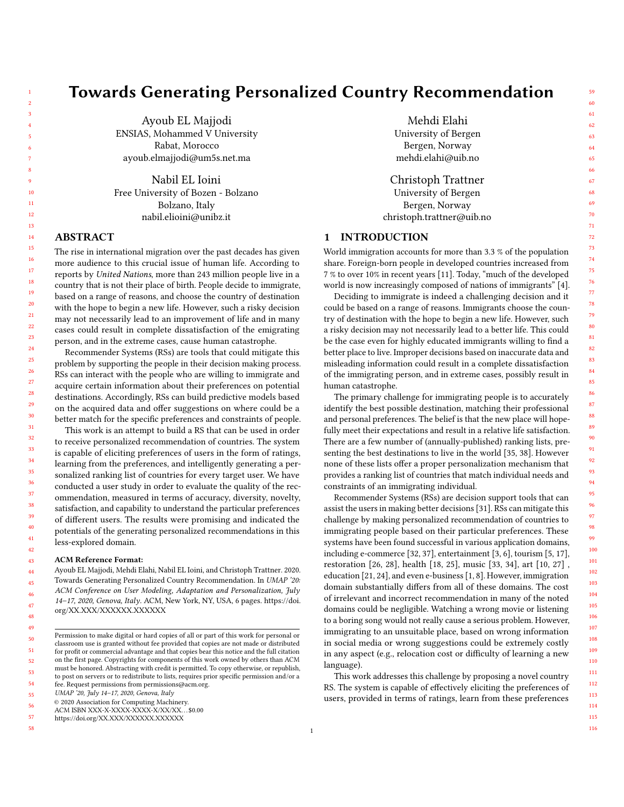# Towards Generating Personalized Country Recommendation

Ayoub EL Majjodi ENSIAS, Mohammed V University Rabat, Morocco ayoub.elmajjodi@um5s.net.ma

Nabil EL Ioini Free University of Bozen - Bolzano Bolzano, Italy nabil.elioini@unibz.it

# ABSTRACT

The rise in international migration over the past decades has given more audience to this crucial issue of human life. According to reports by United Nations, more than 243 million people live in a country that is not their place of birth. People decide to immigrate, based on a range of reasons, and choose the country of destination with the hope to begin a new life. However, such a risky decision may not necessarily lead to an improvement of life and in many cases could result in complete dissatisfaction of the emigrating person, and in the extreme cases, cause human catastrophe.

Recommender Systems (RSs) are tools that could mitigate this problem by supporting the people in their decision making process. RSs can interact with the people who are willing to immigrate and acquire certain information about their preferences on potential destinations. Accordingly, RSs can build predictive models based on the acquired data and offer suggestions on where could be a better match for the specific preferences and constraints of people.

This work is an attempt to build a RS that can be used in order to receive personalized recommendation of countries. The system is capable of eliciting preferences of users in the form of ratings, learning from the preferences, and intelligently generating a personalized ranking list of countries for every target user. We have conducted a user study in order to evaluate the quality of the recommendation, measured in terms of accuracy, diversity, novelty, satisfaction, and capability to understand the particular preferences of different users. The results were promising and indicated the potentials of the generating personalized recommendations in this less-explored domain.

#### ACM Reference Format:

Ayoub EL Majjodi, Mehdi Elahi, Nabil EL Ioini, and Christoph Trattner. 2020. Towards Generating Personalized Country Recommendation. In UMAP '20: ACM Conference on User Modeling, Adaptation and Personalization, July 14–17, 2020, Genova, Italy. ACM, New York, NY, USA, [6](#page-5-0) pages. [https://doi.](https://doi.org/XX.XXX/XXXXXX.XXXXXX) [org/XX.XXX/XXXXXX.XXXXXX](https://doi.org/XX.XXX/XXXXXX.XXXXXX)

UMAP '20, July 14–17, 2020, Genova, Italy

- ACM ISBN XXX-X-XXXX-XXXX-X/XX/XX. . . \$0.00
- 57 <https://doi.org/XX.XXX/XXXXXX.XXXXXX>
- 58

55 56

Mehdi Elahi University of Bergen Bergen, Norway mehdi.elahi@uib.no

Christoph Trattner University of Bergen Bergen, Norway christoph.trattner@uib.no

# 1 INTRODUCTION

World immigration accounts for more than 3.3 % of the population share. Foreign-born people in developed countries increased from 7 % to over 10% in recent years [\[11\]](#page-4-0). Today, "much of the developed world is now increasingly composed of nations of immigrants" [\[4\]](#page-4-1).

Deciding to immigrate is indeed a challenging decision and it could be based on a range of reasons. Immigrants choose the country of destination with the hope to begin a new life. However, such a risky decision may not necessarily lead to a better life. This could be the case even for highly educated immigrants willing to find a better place to live. Improper decisions based on inaccurate data and misleading information could result in a complete dissatisfaction of the immigrating person, and in extreme cases, possibly result in human catastrophe.

The primary challenge for immigrating people is to accurately identify the best possible destination, matching their professional and personal preferences. The belief is that the new place will hopefully meet their expectations and result in a relative life satisfaction. There are a few number of (annually-published) ranking lists, presenting the best destinations to live in the world [\[35,](#page-5-1) [38\]](#page-5-2). However none of these lists offer a proper personalization mechanism that provides a ranking list of countries that match individual needs and constraints of an immigrating individual.

Recommender Systems (RSs) are decision support tools that can assist the users in making better decisions [\[31\]](#page-5-3). RSs can mitigate this challenge by making personalized recommendation of countries to immigrating people based on their particular preferences. These systems have been found successful in various application domains, including e-commerce [\[32,](#page-5-4) [37\]](#page-5-5), entertainment [\[3,](#page-4-2) [6\]](#page-4-3), tourism [\[5,](#page-4-4) [17\]](#page-4-5), restoration [\[26,](#page-4-6) [28\]](#page-4-7), health [\[18,](#page-4-8) [25\]](#page-4-9), music [\[33,](#page-5-6) [34\]](#page-5-7), art [\[10,](#page-4-10) [27\]](#page-4-11) , education [\[21,](#page-4-12) [24\]](#page-4-13), and even e-business [\[1,](#page-4-14) [8\]](#page-4-15). However, immigration domain substantially differs from all of these domains. The cost of irrelevant and incorrect recommendation in many of the noted domains could be negligible. Watching a wrong movie or listening to a boring song would not really cause a serious problem. However, immigrating to an unsuitable place, based on wrong information in social media or wrong suggestions could be extremely costly in any aspect (e.g., relocation cost or difficulty of learning a new language).

This work addresses this challenge by proposing a novel country RS. The system is capable of effectively eliciting the preferences of users, provided in terms of ratings, learn from these preferences

Permission to make digital or hard copies of all or part of this work for personal or classroom use is granted without fee provided that copies are not made or distributed for profit or commercial advantage and that copies bear this notice and the full citation on the first page. Copyrights for components of this work owned by others than ACM must be honored. Abstracting with credit is permitted. To copy otherwise, or republish, to post on servers or to redistribute to lists, requires prior specific permission and/or a fee. Request permissions from permissions@acm.org.

<sup>©</sup> 2020 Association for Computing Machinery.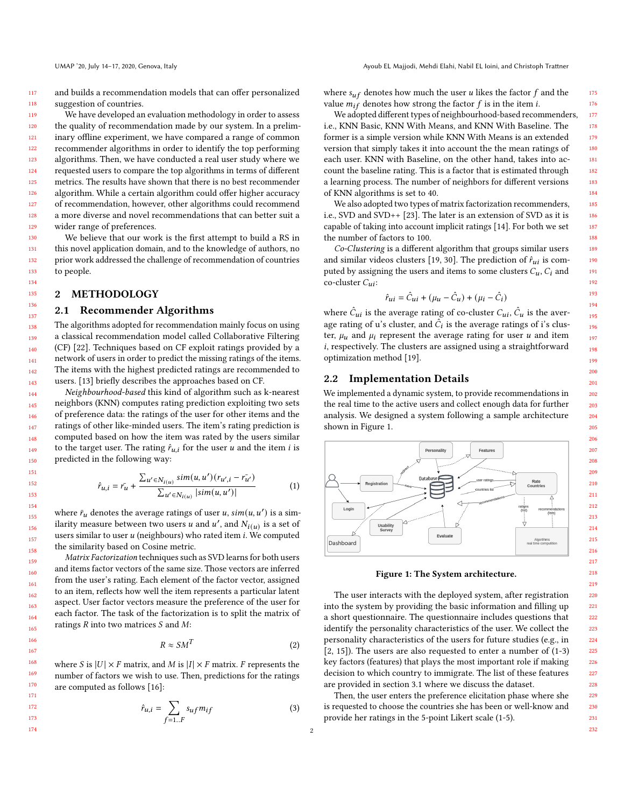and builds a recommendation models that can offer personalized suggestion of countries.

We have developed an evaluation methodology in order to assess the quality of recommendation made by our system. In a preliminary offline experiment, we have compared a range of common recommender algorithms in order to identify the top performing algorithms. Then, we have conducted a real user study where we requested users to compare the top algorithms in terms of different metrics. The results have shown that there is no best recommender algorithm. While a certain algorithm could offer higher accuracy of recommendation, however, other algorithms could recommend a more diverse and novel recommendations that can better suit a wider range of preferences.

We believe that our work is the first attempt to build a RS in this novel application domain, and to the knowledge of authors, no prior work addressed the challenge of recommendation of countries to people.

## 2 METHODOLOGY

### 2.1 Recommender Algorithms

The algorithms adopted for recommendation mainly focus on using a classical recommendation model called Collaborative Filtering (CF) [\[22\]](#page-4-16). Techniques based on CF exploit ratings provided by a network of users in order to predict the missing ratings of the items. The items with the highest predicted ratings are recommended to users. [\[13\]](#page-4-17) briefly describes the approaches based on CF.

Neighbourhood-based this kind of algorithm such as k-nearest neighbors (KNN) computes rating prediction exploiting two sets of preference data: the ratings of the user for other items and the ratings of other like-minded users. The item's rating prediction is computed based on how the item was rated by the users similar to the target user. The rating  $\hat{r}_{u,i}$  for the user  $u$  and the item  $i$  is predicted in the following way:

$$
\hat{r}_{u,i} = \bar{r_u} + \frac{\sum_{u' \in N_{i(u)}} sim(u, u') (r_{u',i} - \bar{r_{u'}})}{\sum_{u' \in N_{i(u)}} |sim(u, u')|}
$$
(1)

where  $\bar{r}_u$  denotes the average ratings of user u,  $\sin(u, u')$  is a similarity measure between two users u and u', and  $N_{i(u)}$  is a set of users similar to user  $u$  (neighbours) who rated item  $i$ . We computed the similarity based on Cosine metric.

Matrix Factorization techniques such as SVD learns for both users and items factor vectors of the same size. Those vectors are inferred from the user's rating. Each element of the factor vector, assigned to an item, reflects how well the item represents a particular latent aspect. User factor vectors measure the preference of the user for each factor. The task of the factorization is to split the matrix of ratings  $R$  into two matrices  $S$  and  $M$ :

$$
R \approx S M^T \tag{2}
$$

where S is  $|U| \times F$  matrix, and M is  $|I| \times F$  matrix. F represents the number of factors we wish to use. Then, predictions for the ratings are computed as follows [\[16\]](#page-4-18):

$$
\hat{r}_{u,i} = \sum_{f=1..F} s_{uf} m_{if} \tag{3}
$$

where  $s_{uf}$  denotes how much the user *u* likes the factor  $f$  and the value  $m_{if}$  denotes how strong the factor  $f$  is in the item *i*.

We adopted different types of neighbourhood-based recommenders, i.e., KNN Basic, KNN With Means, and KNN With Baseline. The former is a simple version while KNN With Means is an extended version that simply takes it into account the the mean ratings of each user. KNN with Baseline, on the other hand, takes into account the baseline rating. This is a factor that is estimated through a learning process. The number of neighbors for different versions of KNN algorithms is set to 40.

We also adopted two types of matrix factorization recommenders, i.e., SVD and SVD++ [\[23\]](#page-4-19). The later is an extension of SVD as it is capable of taking into account implicit ratings [\[14\]](#page-4-20). For both we set the number of factors to 100.

Co-Clustering is a different algorithm that groups similar users and similar videos clusters [\[19,](#page-4-21) [30\]](#page-5-8). The prediction of  $\hat{r}_{ui}$  is computed by assigning the users and items to some clusters  $C_u$ ,  $C_i$  and co-cluster  $C_{ui}$ :

$$
\hat{r}_{ui} = \hat{C}_{ui} + (\mu_u - \hat{C}_u) + (\mu_i - \hat{C}_i)
$$

where  $\hat{C}_{ui}$  is the average rating of co-cluster  $C_{ui}$ ,  $\hat{C}_u$  is the average rating of  $\mathfrak u$ 's cluster, and  $\hat C_i$  is the average ratings of i's cluster,  $\mu_u$  and  $\mu_i$  represent the average rating for user  $u$  and item , respectively. The clusters are assigned using a straightforward optimization method [\[19\]](#page-4-21).

## 2.2 Implementation Details

We implemented a dynamic system, to provide recommendations in the real time to the active users and collect enough data for further analysis. We designed a system following a sample architecture shown in Figure [1.](#page-1-0)

<span id="page-1-0"></span>

#### Figure 1: The System architecture.

The user interacts with the deployed system, after registration into the system by providing the basic information and filling up a short questionnaire. The questionnaire includes questions that identify the personality characteristics of the user. We collect the personality characteristics of the users for future studies (e.g., in [\[2,](#page-4-22) [15\]](#page-4-23)). The users are also requested to enter a number of (1-3) key factors (features) that plays the most important role if making decision to which country to immigrate. The list of these features are provided in section [3.1](#page-2-0) where we discuss the dataset.

Then, the user enters the preference elicitation phase where she is requested to choose the countries she has been or well-know and provide her ratings in the 5-point Likert scale (1-5).

232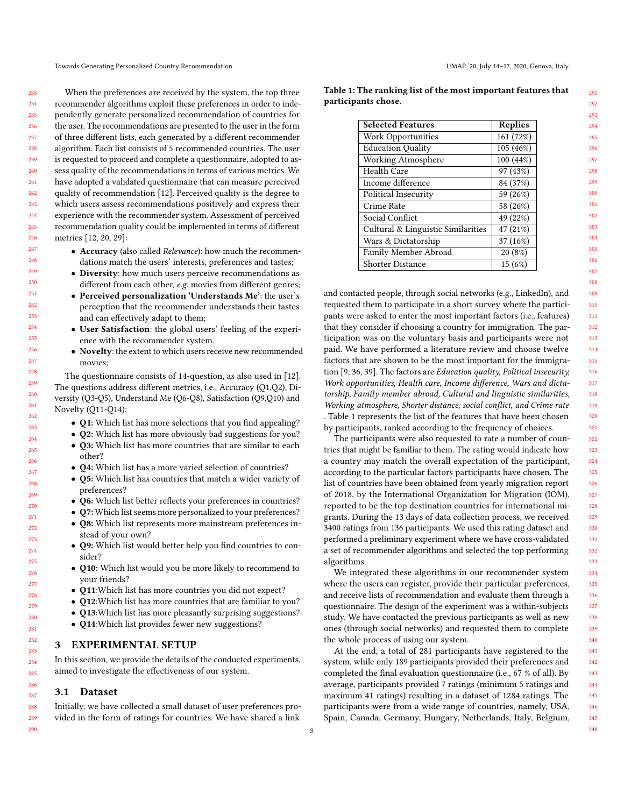233 234 235 236 237 238 239 240 241 242 243 244 245 246 When the preferences are received by the system, the top three recommender algorithms exploit these preferences in order to independently generate personalized recommendation of countries for the user. The recommendations are presented to the user in the form of three different lists, each generated by a different recommender algorithm. Each list consists of 5 recommended countries. The user is requested to proceed and complete a questionnaire, adopted to assess quality of the recommendations in terms of various metrics. We have adopted a validated questionnaire that can measure perceived quality of recommendation [\[12\]](#page-4-24). Perceived quality is the degree to which users assess recommendations positively and express their experience with the recommender system. Assessment of perceived recommendation quality could be implemented in terms of different metrics [\[12,](#page-4-24) [20,](#page-4-25) [29\]](#page-4-26):

- Accuracy (also called Relevance): how much the recommendations match the users' interests, preferences and tastes;
- Diversity: how much users perceive recommendations as different from each other, e.g. movies from different genres;
- Perceived personalization 'Understands Me': the user's perception that the recommender understands their tastes and can effectively adapt to them;
- User Satisfaction: the global users' feeling of the experience with the recommender system.
- Novelty: the extent to which users receive new recommended movies;

The questionnaire consists of 14-question, as also used in [\[12\]](#page-4-24). The questions address different metrics, i.e., Accuracy (Q1,Q2), Diversity (Q3-Q5), Understand Me (Q6-Q8), Satisfaction (Q9,Q10) and Novelty (Q11-Q14):

- Q1: Which list has more selections that you find appealing?
- Q2: Which list has more obviously bad suggestions for you?
- Q3: Which list has more countries that are similar to each other?
- Q4: Which list has a more varied selection of countries?
- Q5: Which list has countries that match a wider variety of preferences?
- Q6: Which list better reflects your preferences in countries?
- Q7: Which list seems more personalized to your preferences? • Q8: Which list represents more mainstream preferences in-
- stead of your own?
- Q9: Which list would better help you find countries to consider?
- Q10: Which list would you be more likely to recommend to your friends?
- Q11:Which list has more countries you did not expect?
- Q12: Which list has more countries that are familiar to you?
- Q13: Which list has more pleasantly surprising suggestions?
- **O14:**Which list provides fewer new suggestions?

# EXPERIMENTAL SETUP

In this section, we provide the details of the conducted experiments, aimed to investigate the effectiveness of our system.

# <span id="page-2-0"></span>3.1 Dataset

Initially, we have collected a small dataset of user preferences provided in the form of ratings for countries. We have shared a link <span id="page-2-1"></span>Table 1: The ranking list of the most important features that participants chose.

| <b>Selected Features</b>           | <b>Replies</b> |  |  |
|------------------------------------|----------------|--|--|
| Work Opportunities                 | 161 (72%)      |  |  |
| <b>Education Quality</b>           | 105 (46%)      |  |  |
| Working Atmosphere                 | 100 (44%)      |  |  |
| Health Care                        | 97 (43%)       |  |  |
| Income difference                  | 84 (37%)       |  |  |
| Political Insecurity               | 59 (26%)       |  |  |
| Crime Rate                         | 58 (26%)       |  |  |
| Social Conflict                    | 49 (22%)       |  |  |
| Cultural & Linguistic Similarities | 47 (21%)       |  |  |
| Wars & Dictatorship                | 37 (16%)       |  |  |
| Family Member Abroad               | 20(8%)         |  |  |
| <b>Shorter Distance</b>            | 15(6%)         |  |  |

and contacted people, through social networks (e.g., LinkedIn), and requested them to participate in a short survey where the participants were asked to enter the most important factors (i.e., features) that they consider if choosing a country for immigration. The participation was on the voluntary basis and participants were not paid. We have performed a literature review and choose twelve factors that are shown to be the most important for the immigration [\[9,](#page-4-27) [36,](#page-5-9) [39\]](#page-5-10). The factors are Education quality, Political insecurity, Work opportunities, Health care, Income difference, Wars and dictatorship, Family member abroad, Cultural and linguistic similarities, Working atmosphere, Shorter distance, social conflict, and Crime rate . Table [1](#page-2-1) represents the list of the features that have been chosen by participants, ranked according to the frequency of choices.

The participants were also requested to rate a number of countries that might be familiar to them. The rating would indicate how a country may match the overall expectation of the participant, according to the particular factors participants have chosen. The list of countries have been obtained from yearly migration report of 2018, by the International Organization for Migration (IOM), reported to be the top destination countries for international migrants. During the 13 days of data collection process, we received 3400 ratings from 136 participants. We used this rating dataset and performed a preliminary experiment where we have cross-validated a set of recommender algorithms and selected the top performing algorithms.

We integrated these algorithms in our recommender system where the users can register, provide their particular preferences, and receive lists of recommendation and evaluate them through a questionnaire. The design of the experiment was a within-subjects study. We have contacted the previous participants as well as new ones (through social networks) and requested them to complete the whole process of using our system.

At the end, a total of 281 participants have registered to the system, while only 189 participants provided their preferences and completed the final evaluation questionnaire (i.e., 67 % of all). By average, participants provided 7 ratings (minimum 5 ratings and maximum 41 ratings) resulting in a dataset of 1284 ratings. The participants were from a wide range of countries, namely, USA, Spain, Canada, Germany, Hungary, Netherlands, Italy, Belgium,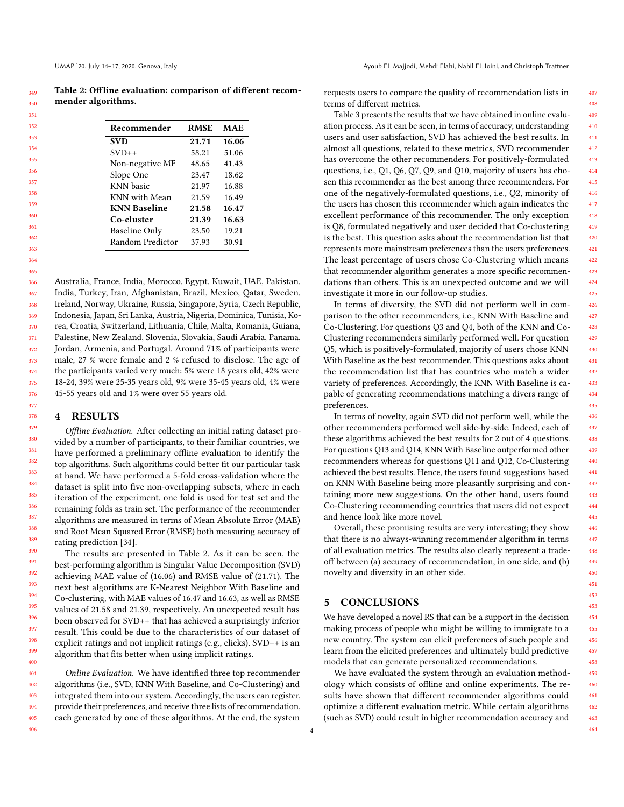<span id="page-3-0"></span>

| Recommender          | <b>RMSE</b>    | <b>MAE</b>     |
|----------------------|----------------|----------------|
| <b>SVD</b>           | 21.71          | 16.06          |
| $SVD++$              | 58.21          | 51.06          |
| Non-negative MF      | 48.65          | 41.43          |
| Slope One            | 23.47          | 18.62          |
| <b>KNN</b> basic     | 21.97<br>21.59 | 16.88<br>16.49 |
| KNN with Mean        |                |                |
| <b>KNN Baseline</b>  | 21.58          | 16.47          |
| Co-cluster           | 21.39          | 16.63          |
| <b>Baseline Only</b> | 23.50          | 19.21          |
| Random Predictor     | 37.93          | 30.91          |

365 366 367 368 369 370 371 372 373 374 375 Australia, France, India, Morocco, Egypt, Kuwait, UAE, Pakistan, India, Turkey, Iran, Afghanistan, Brazil, Mexico, Qatar, Sweden, Ireland, Norway, Ukraine, Russia, Singapore, Syria, Czech Republic, Indonesia, Japan, Sri Lanka, Austria, Nigeria, Dominica, Tunisia, Korea, Croatia, Switzerland, Lithuania, Chile, Malta, Romania, Guiana, Palestine, New Zealand, Slovenia, Slovakia, Saudi Arabia, Panama, Jordan, Armenia, and Portugal. Around 71% of participants were male, 27 % were female and 2 % refused to disclose. The age of the participants varied very much: 5% were 18 years old, 42% were 18-24, 39% were 25-35 years old, 9% were 35-45 years old, 4% were

45-55 years old and 1% were over 55 years old.

## 4 RESULTS

Offline Evaluation. After collecting an initial rating dataset provided by a number of participants, to their familiar countries, we have performed a preliminary offline evaluation to identify the top algorithms. Such algorithms could better fit our particular task at hand. We have performed a 5-fold cross-validation where the dataset is split into five non-overlapping subsets, where in each iteration of the experiment, one fold is used for test set and the remaining folds as train set. The performance of the recommender algorithms are measured in terms of Mean Absolute Error (MAE) and Root Mean Squared Error (RMSE) both measuring accuracy of rating prediction [\[34\]](#page-5-7).

The results are presented in Table [2.](#page-3-0) As it can be seen, the best-performing algorithm is Singular Value Decomposition (SVD) achieving MAE value of (16.06) and RMSE value of (21.71). The next best algorithms are K-Nearest Neighbor With Baseline and Co-clustering, with MAE values of 16.47 and 16.63, as well as RMSE values of 21.58 and 21.39, respectively. An unexpected result has been observed for SVD++ that has achieved a surprisingly inferior result. This could be due to the characteristics of our dataset of explicit ratings and not implicit ratings (e.g., clicks). SVD++ is an algorithm that fits better when using implicit ratings.

Online Evaluation. We have identified three top recommender algorithms (i.e., SVD, KNN With Baseline, and Co-Clustering) and integrated them into our system. Accordingly, the users can register, provide their preferences, and receive three lists of recommendation, each generated by one of these algorithms. At the end, the system

requests users to compare the quality of recommendation lists in terms of different metrics.

Table [3](#page-4-28) presents the results that we have obtained in online evaluation process. As it can be seen, in terms of accuracy, understanding users and user satisfaction, SVD has achieved the best results. In almost all questions, related to these metrics, SVD recommender has overcome the other recommenders. For positively-formulated questions, i.e., Q1, Q6, Q7, Q9, and Q10, majority of users has chosen this recommender as the best among three recommenders. For one of the negatively-formulated questions, i.e., Q2, minority of the users has chosen this recommender which again indicates the excellent performance of this recommender. The only exception is Q8, formulated negatively and user decided that Co-clustering is the best. This question asks about the recommendation list that represents more mainstream preferences than the users preferences. The least percentage of users chose Co-Clustering which means that recommender algorithm generates a more specific recommendations than others. This is an unexpected outcome and we will investigate it more in our follow-up studies.

In terms of diversity, the SVD did not perform well in comparison to the other recommenders, i.e., KNN With Baseline and Co-Clustering. For questions Q3 and Q4, both of the KNN and Co-Clustering recommenders similarly performed well. For question Q5, which is positively-formulated, majority of users chose KNN With Baseline as the best recommender. This questions asks about the recommendation list that has countries who match a wider variety of preferences. Accordingly, the KNN With Baseline is capable of generating recommendations matching a divers range of preferences.

In terms of novelty, again SVD did not perform well, while the other recommenders performed well side-by-side. Indeed, each of these algorithms achieved the best results for 2 out of 4 questions. For questions Q13 and Q14, KNN With Baseline outperformed other recommenders whereas for questions Q11 and Q12, Co-Clustering achieved the best results. Hence, the users found suggestions based on KNN With Baseline being more pleasantly surprising and containing more new suggestions. On the other hand, users found Co-Clustering recommending countries that users did not expect and hence look like more novel.

Overall, these promising results are very interesting; they show that there is no always-winning recommender algorithm in terms of all evaluation metrics. The results also clearly represent a tradeoff between (a) accuracy of recommendation, in one side, and (b) novelty and diversity in an other side.

## 5 CONCLUSIONS

We have developed a novel RS that can be a support in the decision making process of people who might be willing to immigrate to a new country. The system can elicit preferences of such people and learn from the elicited preferences and ultimately build predictive models that can generate personalized recommendations.

We have evaluated the system through an evaluation methodology which consists of offline and online experiments. The results have shown that different recommender algorithms could optimize a different evaluation metric. While certain algorithms (such as SVD) could result in higher recommendation accuracy and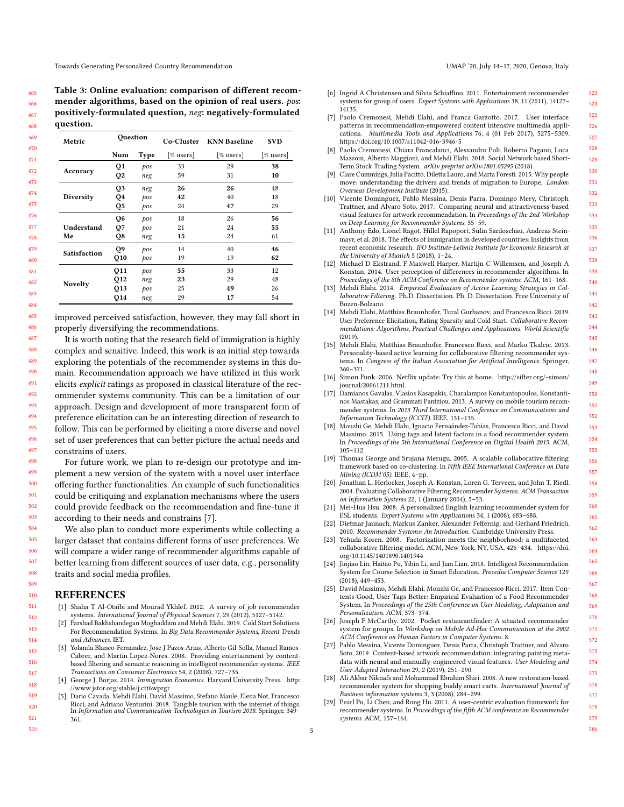<span id="page-4-28"></span>Table 3: Online evaluation: comparison of different recommender algorithms, based on the opinion of real users. pos: positively-formulated question, neg: negatively-formulated question.

| Metric              | Question       |             |                  | Co-Cluster KNN Baseline | <b>SVD</b> |
|---------------------|----------------|-------------|------------------|-------------------------|------------|
|                     | Num            | <b>Type</b> | $\lceil\%$ users | $[%$ users]             | [% users]  |
| Accuracy            | Q1             | pos         | 33               | 29                      | 38         |
|                     | Q <sub>2</sub> | neg         | 59               | 31                      | 10         |
| Diversity           | Q <sub>3</sub> | neg         | 26               | 26                      | 48         |
|                     | Q4             | pos         | 42               | 40                      | 18         |
|                     | Q5             | pos         | 24               | 47                      | 29         |
|                     | Q <sub>6</sub> | pos         | 18               | 26                      | 56         |
| Understand          | Q7             | pos         | 21               | 24                      | 55         |
| Me                  | Q8             | neg         | 15               | 24                      | 61         |
| <b>Satisfaction</b> | Q9             | pos         | 14               | 40                      | 46         |
|                     | Q10            | pos         | 19               | 19                      | 62         |
| <b>Novelty</b>      | Q11            | pos         | 55               | 33                      | 12         |
|                     | Q12            | neg         | 23               | 29                      | 48         |
|                     | Q13            | pos         | 25               | 49                      | 26         |
|                     | Q14            | neg         | 29               | 17                      | 54         |

improved perceived satisfaction, however, they may fall short in properly diversifying the recommendations.

It is worth noting that the research field of immigration is highly complex and sensitive. Indeed, this work is an initial step towards exploring the potentials of the recommender systems in this domain. Recommendation approach we have utilized in this work elicits explicit ratings as proposed in classical literature of the recommender systems community. This can be a limitation of our approach. Design and development of more transparent form of preference elicitation can be an interesting direction of research to follow. This can be performed by eliciting a more diverse and novel set of user preferences that can better picture the actual needs and constrains of users.

For future work, we plan to re-design our prototype and implement a new version of the system with a novel user interface offering further functionalities. An example of such functionalities could be critiquing and explanation mechanisms where the users could provide feedback on the recommendation and fine-tune it according to their needs and constrains [\[7\]](#page-4-29).

We also plan to conduct more experiments while collecting a larger dataset that contains different forms of user preferences. We will compare a wider range of recommender algorithms capable of better learning from different sources of user data, e.g., personality traits and social media profiles.

#### REFERENCES

- <span id="page-4-14"></span>[1] Shaha T Al-Otaibi and Mourad Ykhlef. 2012. A survey of job recommender systems. International Journal of Physical Sciences 7, 29 (2012), 5127–5142.
- <span id="page-4-22"></span>[2] Farshad Bakhshandegan Moghaddam and Mehdi Elahi. 2019. Cold Start Solutions For Recommendation Systems. In Big Data Recommender Systems, Recent Trends and Advances. IET.
- <span id="page-4-2"></span>[3] Yolanda Blanco-Fernandez, Jose J Pazos-Arias, Alberto Gil-Solla, Manuel Ramos-Cabrer, and Martin Lopez-Nores. 2008. Providing entertainment by contentbased filtering and semantic reasoning in intelligent recommender systems. IEEE Transactions on Consumer Electronics 54, 2 (2008), 727–735.
- <span id="page-4-1"></span>[4] George J. Borjas. 2014. Immigration Economics. Harvard University Press. [http:](http://www.jstor.org/stable/j.ctt6wprgr) [//www.jstor.org/stable/j.ctt6wprgr](http://www.jstor.org/stable/j.ctt6wprgr)
- <span id="page-4-4"></span>[5] Dario Cavada, Mehdi Elahi, David Massimo, Stefano Maule, Elena Not, Francesco Ricci, and Adriano Venturini. 2018. Tangible tourism with the internet of things. In Information and Communication Technologies in Tourism 2018. Springer, 349– 361.

- <span id="page-4-3"></span>[6] Ingrid A Christensen and Silvia Schiaffino. 2011. Entertainment recommender systems for group of users. Expert Systems with Applications 38, 11 (2011), 14127– 14135.
- <span id="page-4-29"></span>[7] Paolo Cremonesi, Mehdi Elahi, and Franca Garzotto. 2017. User interface patterns in recommendation-empowered content intensive multimedia applications. Multimedia Tools and Applications 76, 4 (01 Feb 2017), 5275–5309. <https://doi.org/10.1007/s11042-016-3946-5>
- <span id="page-4-15"></span>[8] Paolo Cremonesi, Chiara Francalanci, Alessandro Poli, Roberto Pagano, Luca Mazzoni, Alberto Maggioni, and Mehdi Elahi. 2018. Social Network based Short-Term Stock Trading System. arXiv preprint arXiv:1801.05295 (2018)
- <span id="page-4-27"></span>[9] Clare Cummings, Julia Pacitto, Diletta Lauro, and Marta Foresti. 2015. Why people move: understanding the drivers and trends of migration to Europe. London: Overseas Development Institute (2015).
- <span id="page-4-10"></span>[10] Vicente Dominguez, Pablo Messina, Denis Parra, Domingo Mery, Christoph Trattner, and Alvaro Soto. 2017. Comparing neural and attractiveness-based visual features for artwork recommendation. In Proceedings of the 2nd Workshop on Deep Learning for Recommender Systems. 55–59.
- <span id="page-4-0"></span>[11] Anthony Edo, Lionel Ragot, Hillel Rapoport, Sulin Sardoschau, Andreas Steinmayr, et al. 2018. The effects of immigration in developed countries: Insights from recent economic research. IFO Institute-Leibniz Institute for Economic Research at the University of Munich 5 (2018), 1–24.
- <span id="page-4-24"></span>[12] Michael D Ekstrand, F Maxwell Harper, Martijn C Willemsen, and Joseph A Konstan. 2014. User perception of differences in recommender algorithms. In Proceedings of the 8th ACM Conference on Recommender systems. ACM, 161-168.
- <span id="page-4-17"></span>[13] Mehdi Elahi. 2014. Empirical Evaluation of Active Learning Strategies in Collaborative Filtering. Ph.D. Dissertation. Ph. D. Dissertation. Free University of Bozen-Bolzano.
- <span id="page-4-20"></span>[14] Mehdi Elahi, Matthias Braunhofer, Tural Gurbanov, and Francesco Ricci. 2019. User Preference Elicitation, Rating Sparsity and Cold Start. Collaborative Recommendations: Algorithms, Practical Challenges and Applications. World Scientific (2019).
- <span id="page-4-23"></span>[15] Mehdi Elahi, Matthias Braunhofer, Francesco Ricci, and Marko Tkalcic. 2013. Personality-based active learning for collaborative filtering recommender systems. In Congress of the Italian Association for Artificial Intelligence. Springer, 360–371.
- <span id="page-4-18"></span>[16] Simon Funk. 2006. Netflix update: Try this at home. [http://sifter.org/~simon/](http://sifter.org/~simon/journal/20061211.html) [journal/20061211.html.](http://sifter.org/~simon/journal/20061211.html)
- <span id="page-4-5"></span>[17] Damianos Gavalas, Vlasios Kasapakis, Charalampos Konstantopoulos, Konstantinos Mastakas, and Grammati Pantziou. 2013. A survey on mobile tourism recommender systems. In 2013 Third International Conference on Communications and Information Technology (ICCIT). IEEE, 131–135.
- <span id="page-4-8"></span>[18] Mouzhi Ge, Mehdi Elahi, Ignacio Fernaández-Tobías, Francesco Ricci, and David Massimo. 2015. Using tags and latent factors in a food recommender system. In Proceedings of the 5th International Conference on Digital Health 2015. ACM, 105–112.
- <span id="page-4-21"></span>[19] Thomas George and Srujana Merugu. 2005. A scalable collaborative filtering framework based on co-clustering. In Fifth IEEE International Conference on Data Mining (ICDM'05). IEEE, 4–pp.
- <span id="page-4-25"></span>[20] Jonathan L. Herlocker, Joseph A. Konstan, Loren G. Terveen, and John T. Riedl. 2004. Evaluating Collaborative Filtering Recommender Systems. ACM Transaction on Information Systems 22, 1 (January 2004), 5–53.
- <span id="page-4-12"></span>[21] Mei-Hua Hsu. 2008. A personalized English learning recommender system for ESL students. Expert Systems with Applications 34, 1 (2008), 683–688.
- <span id="page-4-16"></span>[22] Dietmar Jannach, Markus Zanker, Alexander Felfernig, and Gerhard Friedrich. 2010. Recommender Systems: An Introduction. Cambridge University Press.
- <span id="page-4-19"></span>[23] Yehuda Koren. 2008. Factorization meets the neighborhood: a multifaceted collaborative filtering model. ACM, New York, NY, USA, 426–434. [https://doi.](https://doi.org/10.1145/1401890.1401944) [org/10.1145/1401890.1401944](https://doi.org/10.1145/1401890.1401944)
- <span id="page-4-13"></span>[24] Jinjiao Lin, Haitao Pu, Yibin Li, and Jian Lian. 2018. Intelligent Recommendation System for Course Selection in Smart Education. Procedia Computer Science 129 (2018), 449–453.
- <span id="page-4-9"></span>[25] David Massimo, Mehdi Elahi, Mouzhi Ge, and Francesco Ricci. 2017. Item Contents Good, User Tags Better: Empirical Evaluation of a Food Recommender System. In Proceedings of the 25th Conference on User Modeling, Adaptation and Personalization. ACM, 373–374.
- <span id="page-4-6"></span>[26] Joseph F McCarthy. 2002. Pocket restaurantfinder: A situated recommender system for groups. In Workshop on Mobile Ad-Hoc Communication at the 2002 ACM Conference on Human Factors in Computer Systems. 8.
- <span id="page-4-11"></span>[27] Pablo Messina, Vicente Dominguez, Denis Parra, Christoph Trattner, and Alvaro Soto. 2019. Content-based artwork recommendation: integrating painting metadata with neural and manually-engineered visual features. User Modeling and User-Adapted Interaction 29, 2 (2019), 251–290.
- <span id="page-4-7"></span>[28] Ali Akbar Niknafs and Mohammad Ebrahim Shiri. 2008. A new restoration-based recommender system for shopping buddy smart carts. International Journal of Business information systems 3, 3 (2008), 284–299.
- <span id="page-4-26"></span>[29] Pearl Pu, Li Chen, and Rong Hu. 2011. A user-centric evaluation framework for recommender systems. In Proceedings of the fifth ACM conference on Recommender systems. ACM, 157–164.